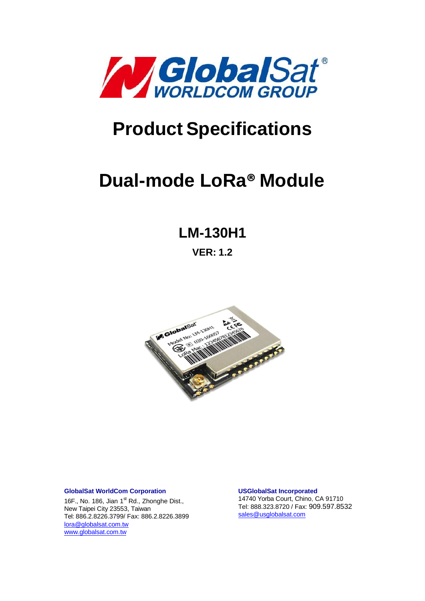

# **Product Specifications**

# **Dual-mode LoRa® Module**

# **LM-130H1**

**VER: 1.2**



#### **GlobalSat WorldCom Corporation**

16F., No. 186, Jian 1<sup>st</sup> Rd., Zhonghe Dist., New Taipei City 23553, Taiwan Tel: 886.2.8226.3799/ Fax: 886.2.8226.3899 [lora@globalsat.com.tw](mailto:lora@globalsat.com.tw) [www.globalsat.com.tw](http://www.globalsat.com.tw/)

**USGlobalSat Incorporated** 14740 Yorba Court, Chino, CA 91710 Tel: 888.323.8720 / Fax: 909.597.8532 [sales@usglobalsat.com](mailto:sales@usglobalsat.com)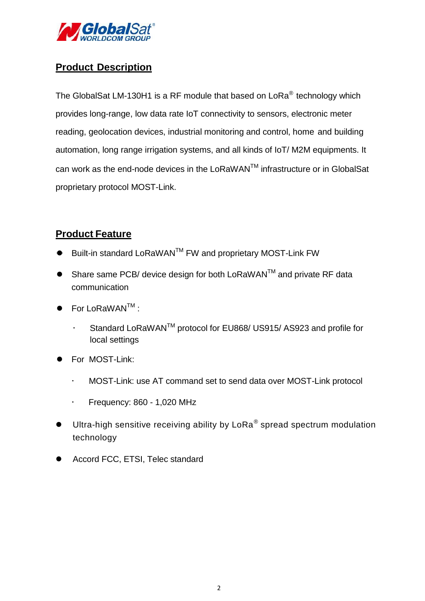

#### **Product Description**

The GlobalSat LM-130H1 is a RF module that based on LoRa<sup>®</sup> technology which provides long-range, low data rate IoT connectivity to sensors, electronic meter reading, geolocation devices, industrial monitoring and control, home and building automation, long range irrigation systems, and all kinds of IoT/ M2M equipments. It can work as the end-node devices in the LoRaWANTM infrastructure or in GlobalSat proprietary protocol MOST-Link.

#### **Product Feature**

- $\bullet$  Built-in standard LoRaWAN<sup>TM</sup> FW and proprietary MOST-Link FW
- Share same PCB/ device design for both LoRaWAN™ and private RF data communication
- $\bullet$  For LoRaWAN<sup>TM</sup> :
	- Standard LoRaWAN<sup>™</sup> protocol for EU868/ US915/ AS923 and profile for local settings
- For MOST-Link:
	- MOST-Link: use AT command set to send data over MOST-Link protocol
	- $\cdot$  Frequency: 860 1,020 MHz
- $\bullet$  Ultra-high sensitive receiving ability by LoRa<sup>®</sup> spread spectrum modulation technology
- Accord FCC, ETSI, Telec standard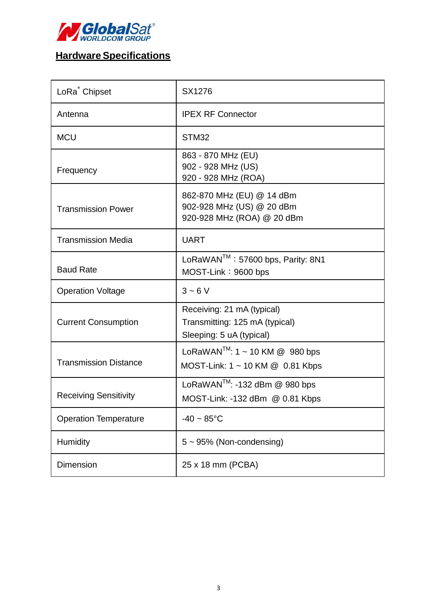

# **Hardware Specifications**

| LoRa <sup>®</sup> Chipset    | SX1276                                                                                   |  |
|------------------------------|------------------------------------------------------------------------------------------|--|
| Antenna                      | <b>IPEX RF Connector</b>                                                                 |  |
| <b>MCU</b>                   | STM32                                                                                    |  |
| Frequency                    | 863 - 870 MHz (EU)<br>902 - 928 MHz (US)<br>920 - 928 MHz (ROA)                          |  |
| <b>Transmission Power</b>    | 862-870 MHz (EU) @ 14 dBm<br>902-928 MHz (US) @ 20 dBm<br>920-928 MHz (ROA) @ 20 dBm     |  |
| <b>Transmission Media</b>    | <b>UART</b>                                                                              |  |
| <b>Baud Rate</b>             | LoRaWAN <sup>™</sup> : 57600 bps, Parity: 8N1<br>MOST-Link: 9600 bps                     |  |
| <b>Operation Voltage</b>     | $3 - 6V$                                                                                 |  |
| <b>Current Consumption</b>   | Receiving: 21 mA (typical)<br>Transmitting: 125 mA (typical)<br>Sleeping: 5 uA (typical) |  |
| <b>Transmission Distance</b> | LoRaWAN <sup>™</sup> : 1 ~ 10 KM @ 980 bps<br>MOST-Link: 1 ~ 10 KM @ 0.81 Kbps           |  |
| <b>Receiving Sensitivity</b> | LoRaWAN <sup>™</sup> : -132 dBm $@$ 980 bps<br>MOST-Link: -132 dBm @ 0.81 Kbps           |  |
| <b>Operation Temperature</b> | $-40 \sim 85^{\circ}$ C                                                                  |  |
| Humidity                     | $5 \sim 95\%$ (Non-condensing)                                                           |  |
| Dimension                    | 25 x 18 mm (PCBA)                                                                        |  |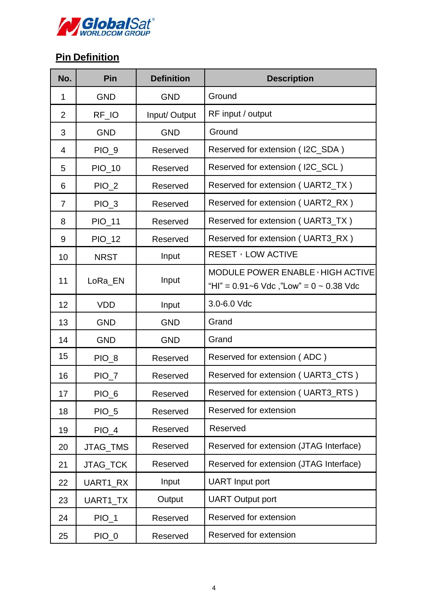

# **Pin Definition**

| No.            | Pin              | <b>Definition</b> | <b>Description</b>                                                               |
|----------------|------------------|-------------------|----------------------------------------------------------------------------------|
| $\mathbf 1$    | <b>GND</b>       | <b>GND</b>        | Ground                                                                           |
| $\overline{2}$ | RF_IO            | Input/Output      | RF input / output                                                                |
| 3              | <b>GND</b>       | <b>GND</b>        | Ground                                                                           |
| $\overline{4}$ | $PIO_9$          | Reserved          | Reserved for extension (I2C_SDA)                                                 |
| 5              | PIO_10           | Reserved          | Reserved for extension (I2C_SCL)                                                 |
| 6              | $PIO_2$          | Reserved          | Reserved for extension (UART2_TX)                                                |
| $\overline{7}$ | $PIO_3$          | Reserved          | Reserved for extension (UART2_RX)                                                |
| 8              | PIO_11           | Reserved          | Reserved for extension (UART3_TX)                                                |
| 9              | PIO_12           | Reserved          | Reserved for extension (UART3_RX)                                                |
| 10             | <b>NRST</b>      | Input             | <b>RESET</b> , LOW ACTIVE                                                        |
| 11             | LoRa_EN          | Input             | MODULE POWER ENABLE, HIGH ACTIVE<br>"HI" = $0.91$ ~6 Vdc, "Low" = $0$ ~ 0.38 Vdc |
| 12             | <b>VDD</b>       | Input             | 3.0-6.0 Vdc                                                                      |
| 13             | <b>GND</b>       | <b>GND</b>        | Grand                                                                            |
| 14             | <b>GND</b>       | <b>GND</b>        | Grand                                                                            |
| 15             | PIO_8            | Reserved          | Reserved for extension (ADC)                                                     |
| 16             | PIO_7            | Reserved          | Reserved for extension (UART3_CTS)                                               |
| 17             | PIO_6            | Reserved          | Reserved for extension (UART3_RTS)                                               |
| 18             | PIO <sub>5</sub> | Reserved          | Reserved for extension                                                           |
| 19             | $PIO_4$          | Reserved          | Reserved                                                                         |
| 20             | JTAG_TMS         | Reserved          | Reserved for extension (JTAG Interface)                                          |
| 21             | JTAG_TCK         | Reserved          | Reserved for extension (JTAG Interface)                                          |
| 22             | UART1 RX         | Input             | <b>UART</b> Input port                                                           |
| 23             | UART1_TX         | Output            | <b>UART Output port</b>                                                          |
| 24             | $PIO_1$          | Reserved          | Reserved for extension                                                           |
| 25             | $PIO_0$          | Reserved          | Reserved for extension                                                           |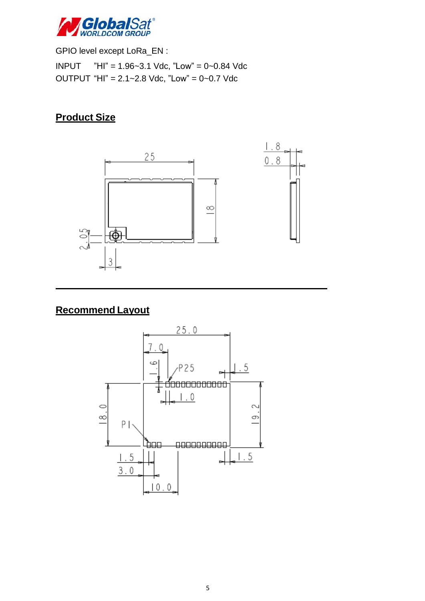

GPIO level except LoRa\_EN : INPUT "HI" = 1.96~3.1 Vdc, "Low" = 0~0.84 Vdc OUTPUT "HI" = 2.1~2.8 Vdc, "Low" = 0~0.7 Vdc

## **Product Size**



## **Recommend Layout**

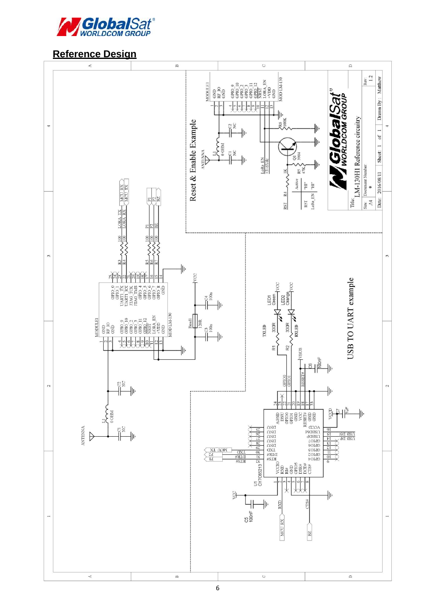

#### **Reference Design**

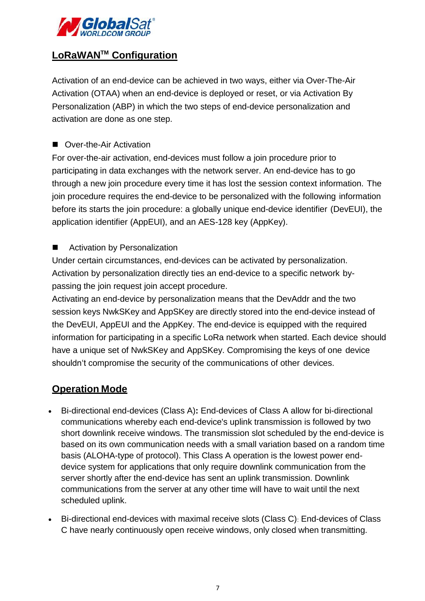

### **LoRaWANTM Configuration**

Activation of an end-device can be achieved in two ways, either via Over-The-Air Activation (OTAA) when an end-device is deployed or reset, or via Activation By Personalization (ABP) in which the two steps of end-device personalization and activation are done as one step.

■ Over-the-Air Activation

For over-the-air activation, end-devices must follow a join procedure prior to participating in data exchanges with the network server. An end-device has to go through a new join procedure every time it has lost the session context information. The join procedure requires the end-device to be personalized with the following information before its starts the join procedure: a globally unique end-device identifier (DevEUI), the application identifier (AppEUI), and an AES-128 key (AppKey).

■ Activation by Personalization

Under certain circumstances, end-devices can be activated by personalization. Activation by personalization directly ties an end-device to a specific network bypassing the join request join accept procedure.

Activating an end-device by personalization means that the DevAddr and the two session keys NwkSKey and AppSKey are directly stored into the end-device instead of the DevEUI, AppEUI and the AppKey. The end-device is equipped with the required information for participating in a specific LoRa network when started. Each device should have a unique set of NwkSKey and AppSKey. Compromising the keys of one device shouldn't compromise the security of the communications of other devices.

#### **Operation Mode**

- Bi-directional end-devices (Class A)**:** End-devices of Class A allow for bi-directional communications whereby each end-device's uplink transmission is followed by two short downlink receive windows. The transmission slot scheduled by the end-device is based on its own communication needs with a small variation based on a random time basis (ALOHA-type of protocol). This Class A operation is the lowest power enddevice system for applications that only require downlink communication from the server shortly after the end-device has sent an uplink transmission. Downlink communications from the server at any other time will have to wait until the next scheduled uplink.
- Bi-directional end-devices with maximal receive slots (Class C): End-devices of Class C have nearly continuously open receive windows, only closed when transmitting.